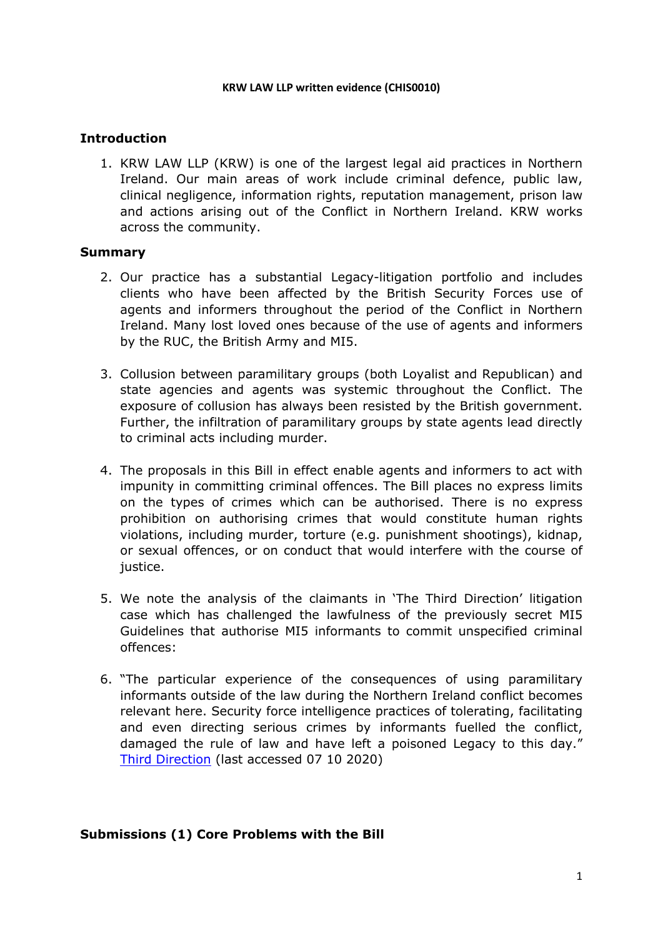#### **KRW LAW LLP written evidence (CHIS0010)**

# **Introduction**

1. KRW LAW LLP (KRW) is one of the largest legal aid practices in Northern Ireland. Our main areas of work include criminal defence, public law, clinical negligence, information rights, reputation management, prison law and actions arising out of the Conflict in Northern Ireland. KRW works across the community.

### **Summary**

- 2. Our practice has a substantial Legacy-litigation portfolio and includes clients who have been affected by the British Security Forces use of agents and informers throughout the period of the Conflict in Northern Ireland. Many lost loved ones because of the use of agents and informers by the RUC, the British Army and MI5.
- 3. Collusion between paramilitary groups (both Loyalist and Republican) and state agencies and agents was systemic throughout the Conflict. The exposure of collusion has always been resisted by the British government. Further, the infiltration of paramilitary groups by state agents lead directly to criminal acts including murder.
- 4. The proposals in this Bill in effect enable agents and informers to act with impunity in committing criminal offences. The Bill places no express limits on the types of crimes which can be authorised. There is no express prohibition on authorising crimes that would constitute human rights violations, including murder, torture (e.g. punishment shootings), kidnap, or sexual offences, or on conduct that would interfere with the course of justice.
- 5. We note the analysis of the claimants in 'The Third Direction' litigation case which has challenged the lawfulness of the previously secret MI5 Guidelines that authorise MI5 informants to commit unspecified criminal offences:
- 6. "The particular experience of the consequences of using paramilitary informants outside of the law during the Northern Ireland conflict becomes relevant here. Security force intelligence practices of tolerating, facilitating and even directing serious crimes by informants fuelled the conflict, damaged the rule of law and have left a poisoned Legacy to this day." [Third](file:///C:/Users/stanl/AppData/Local/Microsoft/Windows/INetCache/Content.Outlook/DBPWPK2Y/2020_09_29_PRIV%20Reprieve%20PI%20CAJ%20and%20PFC-%20CHIS%20Criminal%20Conduct%20Bill%20-%20Briefing%20for%20Second%20Reading.pdf) [Direction](file:///C:/Users/stanl/AppData/Local/Microsoft/Windows/INetCache/Content.Outlook/DBPWPK2Y/2020_09_29_PRIV%20Reprieve%20PI%20CAJ%20and%20PFC-%20CHIS%20Criminal%20Conduct%20Bill%20-%20Briefing%20for%20Second%20Reading.pdf) (last accessed 07 10 2020)

## **Submissions (1) Core Problems with the Bill**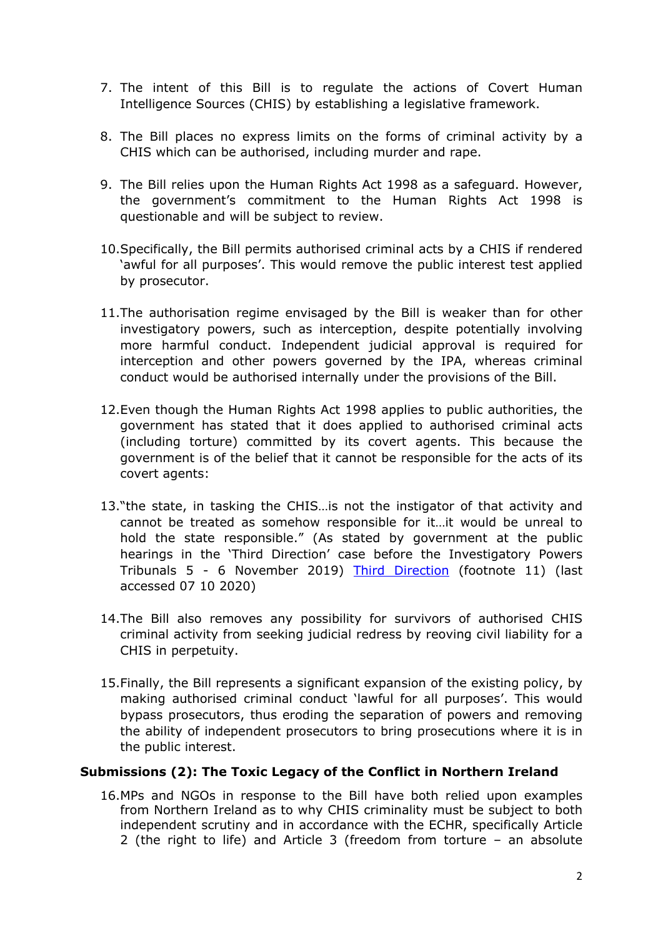- 7. The intent of this Bill is to regulate the actions of Covert Human Intelligence Sources (CHIS) by establishing a legislative framework.
- 8. The Bill places no express limits on the forms of criminal activity by a CHIS which can be authorised, including murder and rape.
- 9. The Bill relies upon the Human Rights Act 1998 as a safeguard. However, the government's commitment to the Human Rights Act 1998 is questionable and will be subject to review.
- 10.Specifically, the Bill permits authorised criminal acts by a CHIS if rendered 'awful for all purposes'. This would remove the public interest test applied by prosecutor.
- 11.The authorisation regime envisaged by the Bill is weaker than for other investigatory powers, such as interception, despite potentially involving more harmful conduct. Independent judicial approval is required for interception and other powers governed by the IPA, whereas criminal conduct would be authorised internally under the provisions of the Bill.
- 12.Even though the Human Rights Act 1998 applies to public authorities, the government has stated that it does applied to authorised criminal acts (including torture) committed by its covert agents. This because the government is of the belief that it cannot be responsible for the acts of its covert agents:
- 13."the state, in tasking the CHIS…is not the instigator of that activity and cannot be treated as somehow responsible for it…it would be unreal to hold the state responsible." (As stated by government at the public hearings in the 'Third Direction' case before the Investigatory Powers Tribunals 5 - 6 November 2019) [Third](file:///C:/Users/stanl/AppData/Local/Microsoft/Windows/INetCache/Content.Outlook/DBPWPK2Y/2020_09_29_PRIV%20Reprieve%20PI%20CAJ%20and%20PFC-%20CHIS%20Criminal%20Conduct%20Bill%20-%20Briefing%20for%20Second%20Reading.pdf) [Direction](file:///C:/Users/stanl/AppData/Local/Microsoft/Windows/INetCache/Content.Outlook/DBPWPK2Y/2020_09_29_PRIV%20Reprieve%20PI%20CAJ%20and%20PFC-%20CHIS%20Criminal%20Conduct%20Bill%20-%20Briefing%20for%20Second%20Reading.pdf) (footnote 11) (last accessed 07 10 2020)
- 14.The Bill also removes any possibility for survivors of authorised CHIS criminal activity from seeking judicial redress by reoving civil liability for a CHIS in perpetuity.
- 15.Finally, the Bill represents a significant expansion of the existing policy, by making authorised criminal conduct 'lawful for all purposes'. This would bypass prosecutors, thus eroding the separation of powers and removing the ability of independent prosecutors to bring prosecutions where it is in the public interest.

#### **Submissions (2): The Toxic Legacy of the Conflict in Northern Ireland**

16.MPs and NGOs in response to the Bill have both relied upon examples from Northern Ireland as to why CHIS criminality must be subject to both independent scrutiny and in accordance with the ECHR, specifically Article 2 (the right to life) and Article 3 (freedom from torture – an absolute